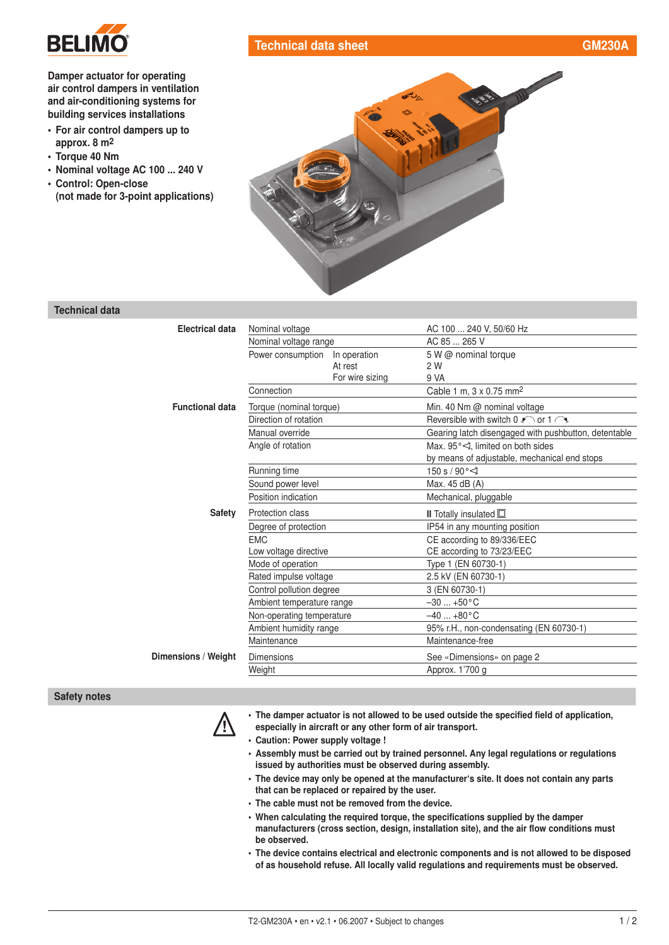

## Damper actuator for operating air control dampers in ventilation and [air-conditioning systems](http://planetaklimata.com.ua/) for building services installations

- For air control dampers up to approx. 8 m2
- Torque 40 Nm
- Nominal voltage AC 100 ... 240 V
- Control: Open-close (not made for 3-point applications)



Technical data sheet [GM230A](http://planetaklimata.com.ua/catalog/lineup/?goodsid=554&path=root-22-45-135-554)

## Technical data

| Electrical data        | Nominal voltage                   | AC 100  240 V, 50/60 Hz                                         |
|------------------------|-----------------------------------|-----------------------------------------------------------------|
|                        | Nominal voltage range             | AC 85  265 V                                                    |
|                        | Power consumption<br>In operation | 5 W @ nominal torque                                            |
|                        | At rest                           | 2 W                                                             |
|                        | For wire sizing                   | 9 VA                                                            |
|                        | Connection                        | Cable 1 m, $3 \times 0.75$ mm <sup>2</sup>                      |
| <b>Functional data</b> | Torque (nominal torque)           | Min. 40 Nm @ nominal voltage                                    |
|                        | Direction of rotation             | Reversible with switch $0 \triangleright$ or $1 \triangleright$ |
|                        | Manual override                   | Gearing latch disengaged with pushbutton, detentable            |
|                        | Angle of rotation                 | Max, $95^{\circ}$ , limited on both sides                       |
|                        |                                   | by means of adjustable, mechanical end stops                    |
|                        | Running time                      | 150 s / 90 $\degree$ $\triangleleft$                            |
|                        | Sound power level                 | Max. 45 dB (A)                                                  |
|                        | Position indication               | Mechanical, pluggable                                           |
| Safety                 | Protection class                  | <b>II</b> Totally insulated $\Box$                              |
|                        | Degree of protection              | IP54 in any mounting position                                   |
|                        | <b>EMC</b>                        | CE according to 89/336/EEC                                      |
|                        | Low voltage directive             | CE according to 73/23/EEC                                       |
|                        | Mode of operation                 | Type 1 (EN 60730-1)                                             |
|                        | Rated impulse voltage             | 2.5 kV (EN 60730-1)                                             |
|                        | Control pollution degree          | 3 (EN 60730-1)                                                  |
|                        | Ambient temperature range         | $-30+50$ °C                                                     |
|                        | Non-operating temperature         | $-40+80$ °C                                                     |
|                        | Ambient humidity range            | 95% r.H., non-condensating (EN 60730-1)                         |
|                        | Maintenance                       | Maintenance-free                                                |
| Dimensions / Weight    | <b>Dimensions</b>                 | See «Dimensions» on page 2                                      |
|                        | Weight                            | Approx. 1'700 g                                                 |
|                        |                                   |                                                                 |

## Safety notes



! • The damper actuator is not allowed to be used outside the specified field of application,

- especially in aircraft or any other form of air transport.
- Caution: Power supply voltage !
- Assembly must be carried out by trained personnel. Any legal regulations or regulations issued by authorities must be observed during assembly.
- The device may only be opened at the manufacturer's site. It does not contain any parts that can be replaced or repaired by the user.
- The cable must not be removed from the device.
- When calculating the required torque, the specifications supplied by the damper manufacturers (cross section, design, installation site), and the air flow conditions must be observed.
- The device contains electrical and electronic components and is not allowed to be disposed of as household refuse. All locally valid regulations and requirements must be observed.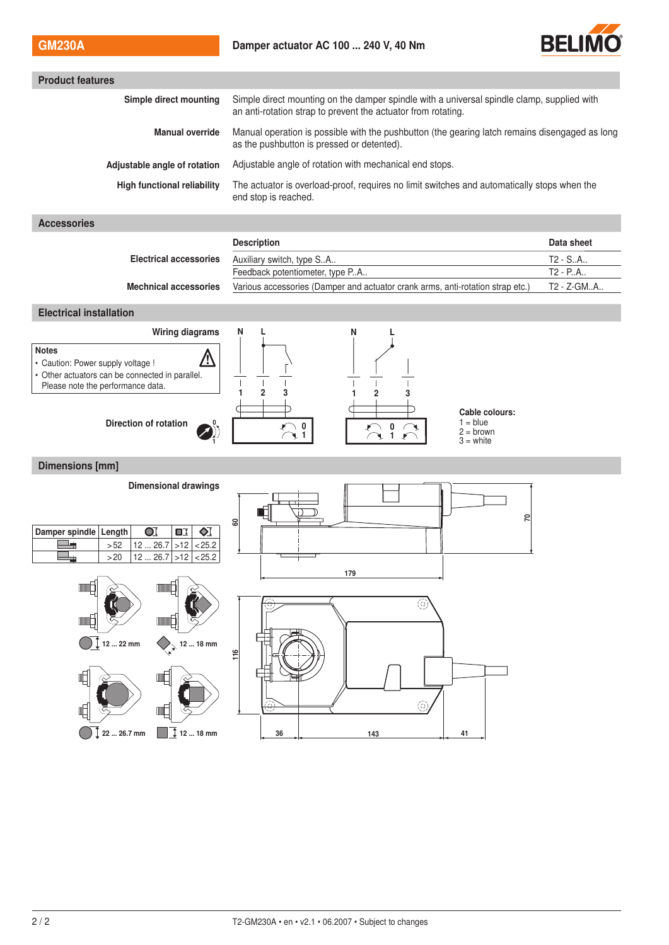

| Simple direct mounting on the damper spindle with a universal spindle clamp, supplied with<br>an anti-rotation strap to prevent the actuator from rotating. |                                                                                                                                          |  |  |
|-------------------------------------------------------------------------------------------------------------------------------------------------------------|------------------------------------------------------------------------------------------------------------------------------------------|--|--|
| Manual operation is possible with the pushbutton (the gearing latch remains disengaged as long<br>as the pushbutton is pressed or detented).                |                                                                                                                                          |  |  |
| Adjustable angle of rotation with mechanical end stops.                                                                                                     |                                                                                                                                          |  |  |
| The actuator is overload-proof, requires no limit switches and automatically stops when the<br>end stop is reached.                                         |                                                                                                                                          |  |  |
|                                                                                                                                                             |                                                                                                                                          |  |  |
| <b>Description</b>                                                                                                                                          | Data sheet                                                                                                                               |  |  |
| Auxiliary switch, type SA                                                                                                                                   | T2 - SA                                                                                                                                  |  |  |
|                                                                                                                                                             | T2 - PA                                                                                                                                  |  |  |
|                                                                                                                                                             | T2 - Z-GMA                                                                                                                               |  |  |
| <b>Electrical installation</b>                                                                                                                              |                                                                                                                                          |  |  |
| N<br>N<br>L                                                                                                                                                 |                                                                                                                                          |  |  |
| $\overline{2}$<br>$\overline{2}$                                                                                                                            |                                                                                                                                          |  |  |
| $1 = blue$<br>$\sum_{i=1}^{n}$<br>0<br>$2 = brown$<br>$3 =$ white                                                                                           |                                                                                                                                          |  |  |
| <b>Dimensions [mm]</b>                                                                                                                                      |                                                                                                                                          |  |  |
|                                                                                                                                                             |                                                                                                                                          |  |  |
| 2<br>8                                                                                                                                                      |                                                                                                                                          |  |  |
| 179<br>⊚<br>116<br>ⓒ                                                                                                                                        |                                                                                                                                          |  |  |
|                                                                                                                                                             | Feedback potentiometer, type PA<br>Various accessories (Damper and actuator crank arms, anti-rotation strap etc.)<br>Cable colours:<br>衈 |  |  |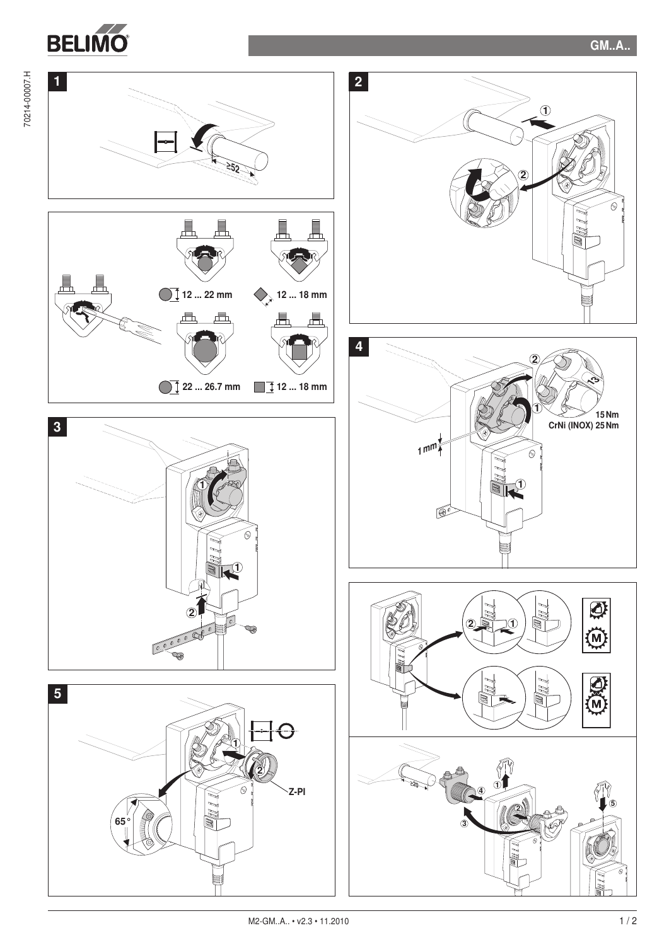